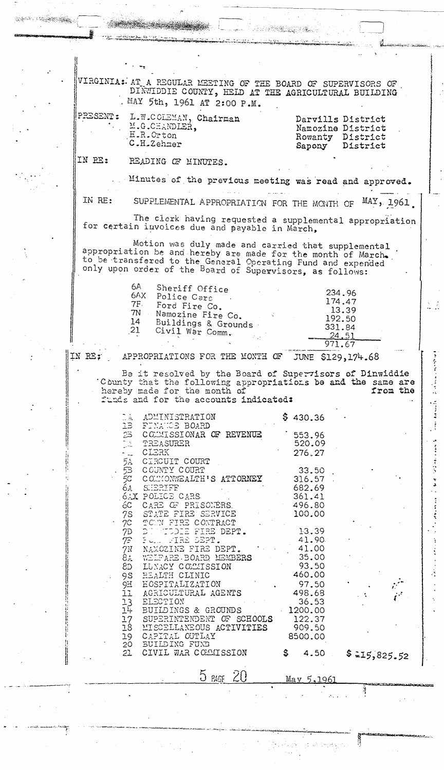VIRGINIA: AT A REGULAR MEETING OF THE BOARD OF SUPERVISORS OF DINTIDIE COUNTY, HELD AT THE AGRICULTURAL BUILDING . MAY 5th, 1961 AT 2:00 P.M.

| PRESENT : | L.W.COLEMAN, Chairman |
|-----------|-----------------------|
|           | M.G.CHANDLER.         |
|           | E.R.Crton             |
|           | C.H.Zehmar            |

|         | Darvills District |
|---------|-------------------|
|         | Namozine District |
| Rowanty | District          |
| Sapony  | District          |

IN RE: READING OF MINUTES.

Minutes of the previous meeting was read and approved.

IN RE:

SUPPLEMENTAL APPROPRIATION FOR THE MONTH OF MAY, 1961

The clerk having requested a supplemental appropriation for certain invoices due and payable in March,

Motion was duly made and carried that supplemental<br>appropriation be and hereby are made for the month of March-<br>to be transfered to the General Operating Fund and expended<br>only upon order of the Board of Supervisors, as fo

| 6A  | Sheriff Office                                         |        |
|-----|--------------------------------------------------------|--------|
| XAd | Police Cars                                            | 234.96 |
| 7F. |                                                        | 174.47 |
|     | Ford Fire Co.                                          | 13.39  |
| 7N  | Namozine Fire Co.                                      | 192.50 |
| 14  | Buildings & Grounds                                    |        |
| 21  | Civil War Comm.                                        | 331.84 |
|     | $\mathcal{L}^{\mathcal{L}}(\mathcal{L}^{\mathcal{L}})$ | 24,51  |
|     |                                                        | 971.67 |
|     |                                                        |        |

## IN RE:

 $\frac{1}{2} \sum_{i=1}^{n} \frac{1}{2}$ 

APPROPRIATIONS FOR THE MONTH OF JUNE \$129, 174.68

Be it resolved by the Board of Supervisors of Dinwiddie County that the following appropriations be and the same are<br>hereby made for the month of from the funds and for the accounts indicated:

| $\mathbb{Z}[\mathbb{A}]$ | ADMINISTRATION<br>1B FINANCE BOARD            |    | \$430.36 |  |              |
|--------------------------|-----------------------------------------------|----|----------|--|--------------|
|                          | 26 COMMISSIONAR OF REVENUE                    |    | 553.96   |  |              |
|                          | DA TREASURER<br>- 2 CLERK<br>5A CIRCUIT COURT |    | 520.09   |  |              |
|                          |                                               |    | 276.27   |  |              |
|                          |                                               |    |          |  |              |
|                          | 5B COUNTY COURT                               |    | 33.50    |  |              |
|                          | 5C COMMONWEALTH'S ATTORNEY                    |    | 316.57   |  |              |
|                          | 6A SHERIFF                                    |    | 682.69   |  |              |
|                          | 6AX POLICE CARS                               |    | 361.41   |  |              |
|                          | 6C CARE OF PRISONERS.                         |    | 496.80   |  |              |
|                          | 7S STATE FIRE SERVICE                         |    | 100.00   |  |              |
|                          | 7C TOWN FIRE CONTRACT                         |    |          |  |              |
|                          | 7D DUM TODIE FIRE DEPT.                       |    | 13.39    |  |              |
|                          | 7F FOR FIRE DEPT.                             |    | 41.90    |  |              |
|                          | 7N NAMOZINE FIRE DEPT.                        |    | 41.00    |  |              |
|                          | 84 WELFARE BOARD MEMBERS                      |    | 35.00    |  |              |
|                          | 8D LUNACY COLLISSION                          |    | 93.50    |  |              |
|                          | 9S HEALTH CLINIC                              |    | 460.00   |  |              |
|                          | 9H EOSPITALIZATION                            |    | 97.50    |  |              |
|                          | 11 AGRICULTURAL AGENTS                        |    | 498.68   |  |              |
|                          |                                               |    | 36.53    |  |              |
|                          | 13 ELECTION<br>14 BUILDINGS & GROUNDS         |    | 1200.00  |  |              |
| $\frac{1}{2}$            | SUPERINTENDENT OF SCHOOLS                     |    | 122.37   |  |              |
|                          | 18 MISCELLANEOUS ACTIVITIES                   |    | 909.50   |  |              |
|                          | 19 CAPITAL OUTLAY                             |    | 8500.00  |  |              |
|                          | 20 BUILDING FUNB                              |    |          |  |              |
| 21                       | CIVIL WAR COMMISSION                          | S. | 4.50     |  | \$215,825.52 |

May 5,1961

1. 这种特别的

 $5$  PAGE  $20$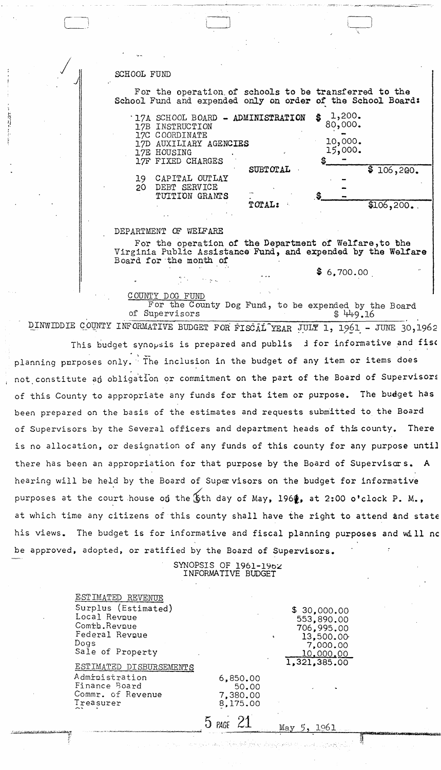SCHOOL FUND

For the operation of schools to be transferred to the School Fund and expended only on order of the School Board:

|    | .17A SCHOOL BOARD - ADMINISTRATION<br>17B INSTRUCTION |          | \$<br>$1,200$ .<br>80,000. |            |
|----|-------------------------------------------------------|----------|----------------------------|------------|
|    | 17C COORDINATE                                        |          |                            |            |
|    | 17D AUXILIARY AGENCIES                                |          | 10,000.                    |            |
|    | 17E HOUSING                                           |          | 15,000.                    |            |
|    | 17F FIXED CHARGES                                     |          | \$                         |            |
|    |                                                       | SUBTOTAL |                            | \$106,200. |
| 19 | CAPITAL OUTLAY                                        |          |                            |            |
| 20 | DEBT SERVICE                                          |          |                            |            |
|    | TUITION GRANTS                                        |          |                            |            |
|    |                                                       | TOTAL:   |                            | ി          |

## DEPARTMENT OF WEIFARE

For the operation of the Department of Welfare, to the Virginia Public Assistance Fund, and expended by the Welfare Board for the month of

 $$6,700.00$ 

COUNTY DOG FUND For the County Dog Fund, to be expended by the Board of Supervisors \$449.16

DINWIDDIE COUNTY INFORMATIVE BUDGET FOR FISCAL YEAR JULY 1, 1961 - JUNE 30,1962

This budget synopsis is prepared and publis d for informative and fise planning purposes only. The inclusion in the budget of any item or items does not constitute an obligation or commitment on the part of the Board of Supervisors of this County to appropriate any funds for that item or purpose. The budget has been prepared on the basis of the estimates and requests submitted to the Board of Supervisors by the Several officers and department heads of this county. There is no allocation, or designation of any funds of this county for any purpose until there has been an appropriation for that purpose by the Board of Supervisors.  $\mathbf{A}$ hearing will be held by the Board of Supervisors on the budget for informative purposes at the court house on the \$th day of May, 1960, at 2:00 o'clock P. M., at which time any citizens of this county shall have the right to attend and state his views. The budget is for informative and fiscal planning purposes and will no be approved, adopted, or ratified by the Board of Supervisors.

> SYNOPSIS OF 1961-1962 INFORMATIVE BUDGET

|                                                                                                    | గ్రామం, సౌకర్యాల్స్ కొన్                  |                                                                  |
|----------------------------------------------------------------------------------------------------|-------------------------------------------|------------------------------------------------------------------|
|                                                                                                    | $5$ PAGE                                  | 1961<br>May                                                      |
| Administration<br>Finance Board<br>Commr. of Revenue<br>Treasurer                                  | 6,850.00<br>50.00<br>7,380.00<br>8,175.00 |                                                                  |
| Sale of Property<br>ESTIMATED DISBURSEMENTS                                                        |                                           | 10,000,00<br>1,321,385.00                                        |
| ESTIMATED REVENUE<br>Surplus (Estimated)<br>Local Revnue<br>Comth.Revnue<br>Federal Revoue<br>Dogs |                                           | \$30,000,00<br>553,890.00<br>706,995.00<br>13,500.00<br>7,000.00 |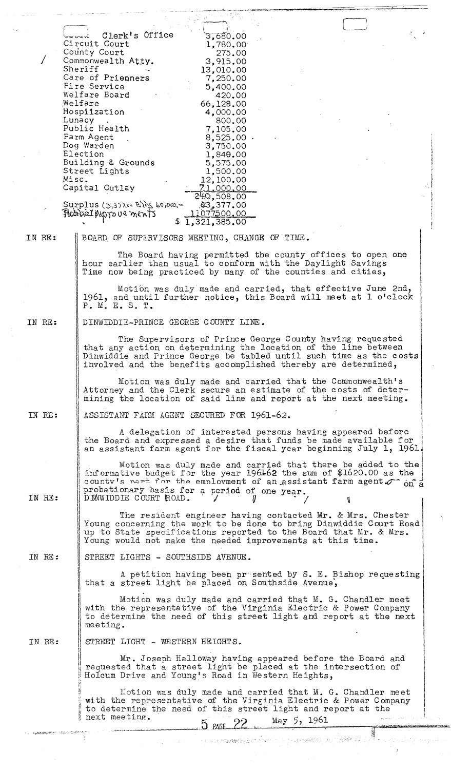|        | Clerk's Office<br>3,680.00<br>on croni                                                                                                                                                                              |
|--------|---------------------------------------------------------------------------------------------------------------------------------------------------------------------------------------------------------------------|
|        | Circuit Court<br>1,780.00<br>County Court<br>275.00                                                                                                                                                                 |
|        | Commonwealth Atty.<br>3,915.00<br>Sheriff<br>13,010.00                                                                                                                                                              |
|        | Care of Prienners<br>7,250.00<br>Fire Service                                                                                                                                                                       |
|        | 5,400.00<br>Welfare Board<br>420.00                                                                                                                                                                                 |
|        | Welfare<br>66,128.00<br>Hospilzation<br>4,000.00                                                                                                                                                                    |
|        | 800.00<br>Lunacy<br>Public Health<br>7,105.00                                                                                                                                                                       |
|        | Farm Agent<br>$8,525.00$ .<br>Dog Warden<br>3,750.00                                                                                                                                                                |
|        | Election<br>1,849.00<br>Building & Grounds<br>5,575.00                                                                                                                                                              |
|        | Street Lights<br>1,500.00<br>Misc.<br>12,100.00                                                                                                                                                                     |
|        | Capital Outlay<br>71.000.00<br>240,508.00                                                                                                                                                                           |
|        | $Surplus (\zeta,3)$ is $R\$ to loo - $$377.00$<br>11077500.00<br>Peteral Ansyoue ments<br>\$1,321,385.00                                                                                                            |
| IN RE: | BOARD OF SUPERVISORS MEETING, CHANGE OF TIME.                                                                                                                                                                       |
|        | The Board having permitted the county offices to open one                                                                                                                                                           |
|        | hour earlier than usual to conform with the Daylight Savings<br>Time now being practiced by many of the counties and cities,                                                                                        |
|        | Motion was duly made and carried, that effective June 2nd,<br>1961, and until further notice, this Board will meet at 1 o'clock<br>P. M. E. S. T.                                                                   |
| IN RE: | DINWIDDIE-PRINCE GEORGE COUNTY LINE.                                                                                                                                                                                |
|        | The Supervisors of Prince George County having requested<br>that any action on determining the location of the line between                                                                                         |
|        | Dinwiddie and Prince George be tabled until such time as the costs<br>involved and the benefits accomplished thereby are determined,                                                                                |
|        | Motion was duly made and carried that the Commonwealth's<br>Attorney and the Clerk secure an estimate of the costs of deter-<br>mining the location of said line and report at the next meeting.                    |
| IN RE: | ASSISTANT FARM AGENT SECURED FOR 1961-62.                                                                                                                                                                           |
|        | A delegation of interested persons having appeared before<br>the Board and expressed a desire that funds be made available for                                                                                      |
|        | an assistant farm agent for the fiscal year beginning July 1, 1961.<br>Motion was duly made and carried that there be added to the                                                                                  |
| IN RE: | informative budget for the year 1961-62 the sum of \$1620.00 as the<br>countv's nart for the employment of an assistant farm agent or on a<br>probationary basis for a period of one year.<br>DIMWIDDIE COURT ROAD. |
|        | The resident engineer having contacted Mr. & Mrs. Chester                                                                                                                                                           |
|        | Young concerning the work to be done to bring Dinwiddie Court Road<br>up to State specifications reported to the Board that Mr. & Mrs.<br>Young would not make the needed improvements at this time.                |
| IN RE: | STREET LIGHTS - SOUTHSIDE AVENUE.                                                                                                                                                                                   |
|        | A petition having been presented by S. E. Bishop requesting<br>that a street light be placed on Southside Avenue,                                                                                                   |
|        | Motion was duly made and carried that M. G. Chandler meet<br>with the representative of the Virginia Electric & Power Company<br>to determine the need of this street light and report at the next<br>meeting.      |
| IN RE: | STREET LIGHT - WESTERN HEIGHTS.                                                                                                                                                                                     |
|        | Mr. Joseph Halloway having appeared before the Board and<br>requested that a street light be placed at the intersection of<br>Holcum Drive and Young's Road in Western Heights,                                     |
|        | Motion was duly made and carried that M. G. Chandler meet<br>with the representative of the Virginia Electric & Power Company<br>to determine the need of this street light and report at the<br>next meeting.      |
|        | 5 PAGE 22 May 5, 1961<br><b>معاملات المنابع والمربع والمستحيل المعاملة المعاملة</b>                                                                                                                                 |
|        |                                                                                                                                                                                                                     |